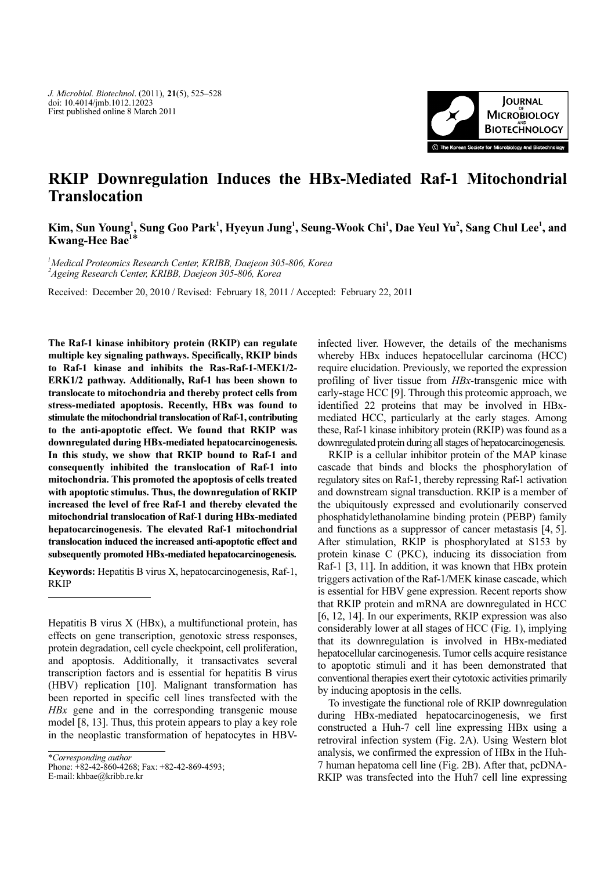

## RKIP Downregulation Induces the HBx-Mediated Raf-1 Mitochondrial **Translocation**

Kim, Sun Young<sup>1</sup>, Sung Goo Park<sup>1</sup>, Hyeyun Jung<sup>1</sup>, Seung-Wook Chi<sup>1</sup>, Dae Yeul Yu<sup>2</sup>, Sang Chul Lee<sup>1</sup>, and<br>Kwang-Hee Bae<sup>1\*</sup>

1 Medical Proteomics Research Center, KRIBB, Daejeon 305-806, Korea 2 Ageing Research Center, KRIBB, Daejeon 305-806, Korea

Received: December 20, 2010 / Revised: February 18, 2011 / Accepted: February 22, 2011

The Raf-1 kinase inhibitory protein (RKIP) can regulate multiple key signaling pathways. Specifically, RKIP binds to Raf-1 kinase and inhibits the Ras-Raf-1-MEK1/2- ERK1/2 pathway. Additionally, Raf-1 has been shown to translocate to mitochondria and thereby protect cells from stress-mediated apoptosis. Recently, HBx was found to stimulate the mitochondrial translocation of Raf-1, contributing to the anti-apoptotic effect. We found that RKIP was downregulated during HBx-mediated hepatocarcinogenesis. In this study, we show that RKIP bound to Raf-1 and consequently inhibited the translocation of Raf-1 into mitochondria. This promoted the apoptosis of cells treated with apoptotic stimulus. Thus, the downregulation of RKIP increased the level of free Raf-1 and thereby elevated the mitochondrial translocation of Raf-1 during HBx-mediated hepatocarcinogenesis. The elevated Raf-1 mitochondrial translocation induced the increased anti-apoptotic effect and subsequently promoted HBx-mediated hepatocarcinogenesis.

Keywords: Hepatitis B virus X, hepatocarcinogenesis, Raf-1, RKIP

Hepatitis B virus X (HBx), a multifunctional protein, has effects on gene transcription, genotoxic stress responses, protein degradation, cell cycle checkpoint, cell proliferation, and apoptosis. Additionally, it transactivates several transcription factors and is essential for hepatitis B virus (HBV) replication [10]. Malignant transformation has been reported in specific cell lines transfected with the HBx gene and in the corresponding transgenic mouse model [8, 13]. Thus, this protein appears to play a key role in the neoplastic transformation of hepatocytes in HBV-

\*Corresponding author

Phone: +82-42-860-4268; Fax: +82-42-869-4593;

E-mail: khbae@kribb.re.kr

infected liver. However, the details of the mechanisms whereby HBx induces hepatocellular carcinoma (HCC) require elucidation. Previously, we reported the expression profiling of liver tissue from HBx-transgenic mice with early-stage HCC [9]. Through this proteomic approach, we identified 22 proteins that may be involved in HBxmediated HCC, particularly at the early stages. Among these, Raf-1 kinase inhibitory protein (RKIP) was found as a downregulated protein during all stages of hepatocarcinogenesis.

RKIP is a cellular inhibitor protein of the MAP kinase cascade that binds and blocks the phosphorylation of regulatory sites on Raf-1, thereby repressing Raf-1 activation and downstream signal transduction. RKIP is a member of the ubiquitously expressed and evolutionarily conserved phosphatidylethanolamine binding protein (PEBP) family and functions as a suppressor of cancer metastasis [4, 5]. After stimulation, RKIP is phosphorylated at S153 by protein kinase C (PKC), inducing its dissociation from Raf-1 [3, 11]. In addition, it was known that HBx protein triggers activation of the Raf-1/MEK kinase cascade, which is essential for HBV gene expression. Recent reports show that RKIP protein and mRNA are downregulated in HCC [6, 12, 14]. In our experiments, RKIP expression was also considerably lower at all stages of HCC (Fig. 1), implying that its downregulation is involved in HBx-mediated hepatocellular carcinogenesis. Tumor cells acquire resistance to apoptotic stimuli and it has been demonstrated that conventional therapies exert their cytotoxic activities primarily by inducing apoptosis in the cells.

To investigate the functional role of RKIP downregulation during HBx-mediated hepatocarcinogenesis, we first constructed a Huh-7 cell line expressing HBx using a retroviral infection system (Fig. 2A). Using Western blot analysis, we confirmed the expression of HBx in the Huh-7 human hepatoma cell line (Fig. 2B). After that, pcDNA-RKIP was transfected into the Huh7 cell line expressing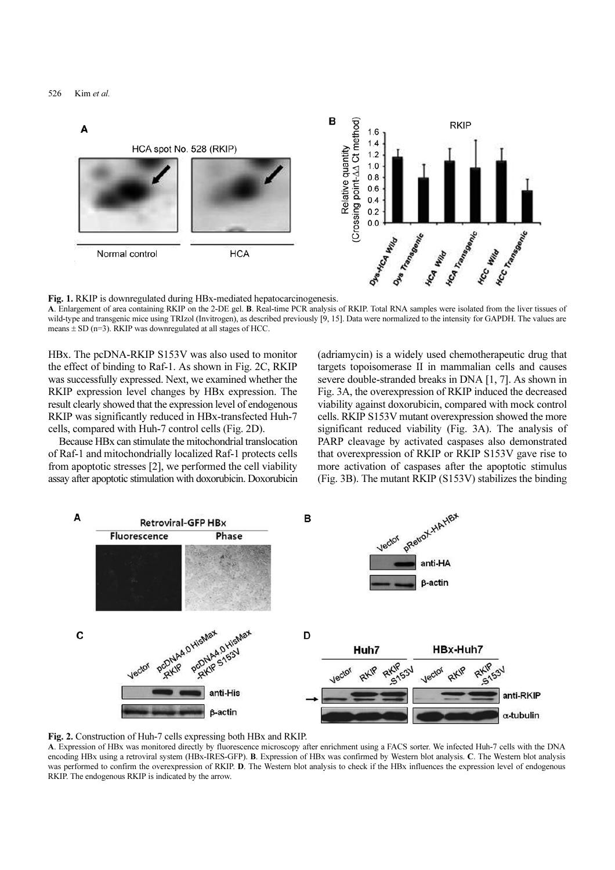

Fig. 1. RKIP is downregulated during HBx-mediated hepatocarcinogenesis.<br>A. Enlargement of area containing RKIP on the 2-DE gel. B. Real-time PCR analysis of RKIP. Total RNA samples were isolated from the liver tissues of wild-type and transgenic mice using TRIzol (Invitrogen), as described previously [9, 15]. Data were normalized to the intensity for GAPDH. The values are means  $\pm$  SD (n=3). RKIP was downregulated at all stages of HCC.

HBx. The pcDNA-RKIP S153V was also used to monitor the effect of binding to Raf-1. As shown in Fig. 2C, RKIP was successfully expressed. Next, we examined whether the RKIP expression level changes by HBx expression. The result clearly showed that the expression level of endogenous RKIP was significantly reduced in HBx-transfected Huh-7 cells, compared with Huh-7 control cells (Fig. 2D).

Because HBx can stimulate the mitochondrial translocation of Raf-1 and mitochondrially localized Raf-1 protects cells from apoptotic stresses [2], we performed the cell viability assay after apoptotic stimulation with doxorubicin. Doxorubicin (adriamycin) is a widely used chemotherapeutic drug that targets topoisomerase II in mammalian cells and causes severe double-stranded breaks in DNA [1, 7]. As shown in Fig. 3A, the overexpression of RKIP induced the decreased viability against doxorubicin, compared with mock control cells. RKIP S153V mutant overexpression showed the more significant reduced viability (Fig. 3A). The analysis of PARP cleavage by activated caspases also demonstrated that overexpression of RKIP or RKIP S153V gave rise to more activation of caspases after the apoptotic stimulus (Fig. 3B). The mutant RKIP (S153V) stabilizes the binding





A. Expression of HBx was monitored directly by fluorescence microscopy after enrichment using a FACS sorter. We infected Huh-7 cells with the DNA encoding HBx using a retroviral system (HBx-IRES-GFP). B. Expression of HBx was confirmed by Western blot analysis. C. The Western blot analysis was performed to confirm the overexpression of RKIP. D. The Western blot analysis to check if the HBx influences the expression level of endogenous RKIP. The endogenous RKIP is indicated by the arrow.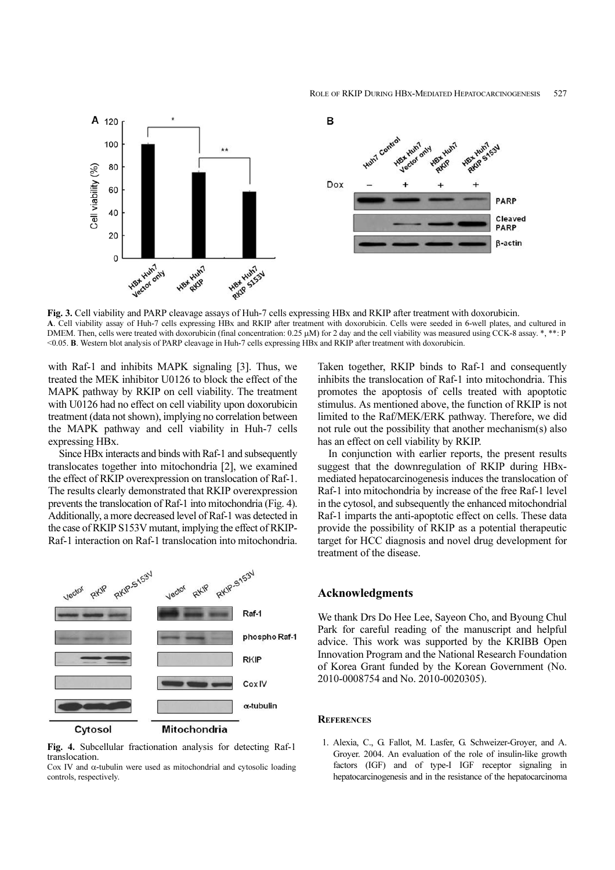

Fig. 3. Cell viability and PARP cleavage assays of Huh-7 cells expressing HBx and RKIP after treatment with doxorubicin.<br>A. Cell viability assay of Huh-7 cells expressing HBx and RKIP after treatment with doxorubicin. Cell DMEM. Then, cells were treated with doxorubicin (final concentration: 0.25 µM) for 2 day and the cell viability was measured using CCK-8 assay. \*, \*\*: P <0.05. B. Western blot analysis of PARP cleavage in Huh-7 cells expressing HBx and RKIP after treatment with doxorubicin.

with Raf-1 and inhibits MAPK signaling [3]. Thus, we treated the MEK inhibitor U0126 to block the effect of the MAPK pathway by RKIP on cell viability. The treatment with U0126 had no effect on cell viability upon doxorubicin treatment (data not shown), implying no correlation between the MAPK pathway and cell viability in Huh-7 cells expressing HBx.

Since HBx interacts and binds with Raf-1 and subsequently translocates together into mitochondria [2], we examined the effect of RKIP overexpression on translocation of Raf-1. The results clearly demonstrated that RKIP overexpression prevents the translocation of Raf-1 into mitochondria (Fig. 4). Additionally, a more decreased level of Raf-1 was detected in the case of RKIP S153V mutant, implying the effect of RKIP-Raf-1 interaction on Raf-1 translocation into mitochondria.



Fig. 4. Subcellular fractionation analysis for detecting Raf-1 translocation.

Cox IV and α-tubulin were used as mitochondrial and cytosolic loading controls, respectively.

Taken together, RKIP binds to Raf-1 and consequently inhibits the translocation of Raf-1 into mitochondria. This promotes the apoptosis of cells treated with apoptotic stimulus. As mentioned above, the function of RKIP is not limited to the Raf/MEK/ERK pathway. Therefore, we did not rule out the possibility that another mechanism(s) also has an effect on cell viability by RKIP.

In conjunction with earlier reports, the present results suggest that the downregulation of RKIP during HBxmediated hepatocarcinogenesis induces the translocation of Raf-1 into mitochondria by increase of the free Raf-1 level in the cytosol, and subsequently the enhanced mitochondrial Raf-1 imparts the anti-apoptotic effect on cells. These data provide the possibility of RKIP as a potential therapeutic target for HCC diagnosis and novel drug development for treatment of the disease.

## Acknowledgments

We thank Drs Do Hee Lee, Sayeon Cho, and Byoung Chul Park for careful reading of the manuscript and helpful advice. This work was supported by the KRIBB Open Innovation Program and the National Research Foundation of Korea Grant funded by the Korean Government (No. 2010-0008754 and No. 2010-0020305).

## *R*EFERENCES

1. Alexia, C., G. Fallot, M. Lasfer, G. Schweizer-Groyer, and A. Groyer. 2004. An evaluation of the role of insulin-like growth factors (IGF) and of type-I IGF receptor signaling in hepatocarcinogenesis and in the resistance of the hepatocarcinoma